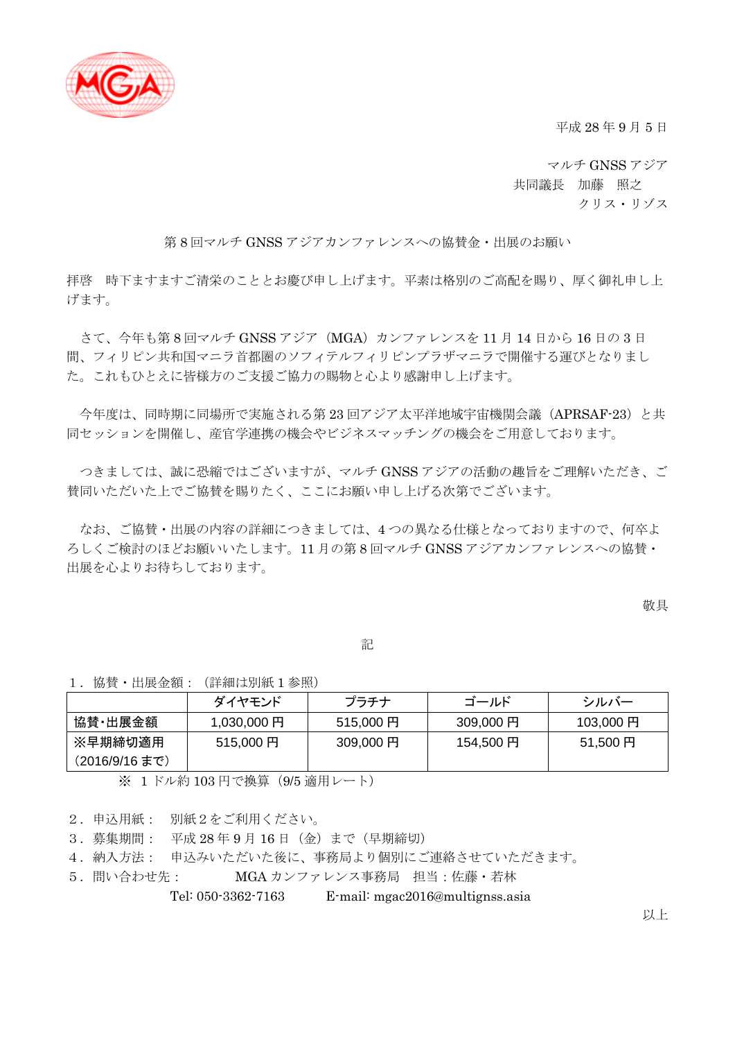

平成 28 年 9 月 5 日

マルチ GNSS アジア 共同議長 加藤 照之 クリス・リゾス

第 8 回マルチ GNSS アジアカンファレンスへの協賛金・出展のお願い

拝啓 時下ますますご清栄のこととお慶び申し上げます。平素は格別のご高配を賜り、厚く御礼申し上 げます。

さて、今年も第 8 回マルチ GNSS アジア(MGA)カンファレンスを 11 月 14 日から 16 日の 3 日 間、フィリピン共和国マニラ首都圏のソフィテルフィリピンプラザマニラで開催する運びとなりまし た。これもひとえに皆様方のご支援ご協力の賜物と心より感謝申し上げます。

今年度は、同時期に同場所で実施される第 23 回アジア太平洋地域宇宙機関会議(APRSAF-23)と共 同セッションを開催し、産官学連携の機会やビジネスマッチングの機会をご用意しております。

つきましては、誠に恐縮ではございますが、マルチ GNSS アジアの活動の趣旨をご理解いただき、ご 賛同いただいた上でご協賛を賜りたく、ここにお願い申し上げる次第でございます。

なお、ご協賛・出展の内容の詳細につきましては、4 つの異なる仕様となっておりますので、何卒よ ろしくご検討のほどお願いいたします。11 月の第 8 回マルチ GNSS アジアカンファレンスへの協賛・ 出展を心よりお待ちしております。

敬具

記

1.協賛・出展金額:(詳細は別紙 1 参照)

|                | ダイヤモンド     | プラチナ      | ゴールド      | シルバー      |
|----------------|------------|-----------|-----------|-----------|
| 協賛·出展金額        | 1,030,000円 | 515,000円  | 309,000 円 | 103,000 円 |
| ※早期締切適用        | 515,000円   | 309,000 円 | 154,500円  | 51,500円   |
| (2016/9/16 まで) |            |           |           |           |

※ 1 ドル約 103 円で換算(9/5 適用レート)

2.申込用紙: 別紙2をご利用ください。

3.募集期間: 平成 28 年 9 月 16 日(金)まで(早期締切)

4.納入方法: 申込みいただいた後に、事務局より個別にご連絡させていただきます。

5.問い合わせ先: MGA カンファレンス事務局 担当:佐藤・若林

Tel: 050-3362-7163 E-mail: mgac2016@multignss.asia

以上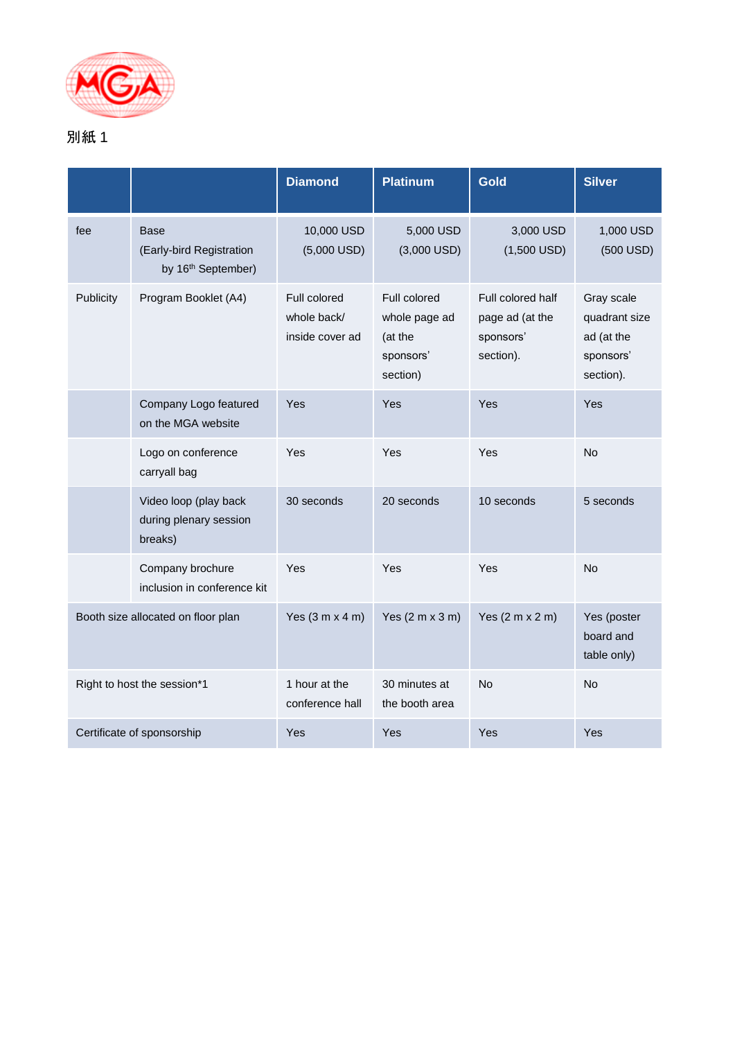

## 別紙 1

|                                    |                                                                           | <b>Diamond</b>                                 | <b>Platinum</b>                                                   | <b>Gold</b>                                                    | <b>Silver</b>                                                       |
|------------------------------------|---------------------------------------------------------------------------|------------------------------------------------|-------------------------------------------------------------------|----------------------------------------------------------------|---------------------------------------------------------------------|
| fee                                | <b>Base</b><br>(Early-bird Registration<br>by 16 <sup>th</sup> September) | 10,000 USD<br>$(5,000$ USD)                    | 5,000 USD<br>$(3,000$ USD)                                        | 3,000 USD<br>$(1,500$ USD)                                     | 1,000 USD<br>$(500$ USD)                                            |
| Publicity                          | Program Booklet (A4)                                                      | Full colored<br>whole back/<br>inside cover ad | Full colored<br>whole page ad<br>(at the<br>sponsors'<br>section) | Full colored half<br>page ad (at the<br>sponsors'<br>section). | Gray scale<br>quadrant size<br>ad (at the<br>sponsors'<br>section). |
|                                    | Company Logo featured<br>on the MGA website                               | Yes                                            | Yes                                                               | Yes                                                            | Yes                                                                 |
|                                    | Logo on conference<br>carryall bag                                        | Yes                                            | Yes                                                               | <b>Yes</b>                                                     | <b>No</b>                                                           |
|                                    | Video loop (play back<br>during plenary session<br>breaks)                | 30 seconds                                     | 20 seconds                                                        | 10 seconds                                                     | 5 seconds                                                           |
|                                    | Company brochure<br>inclusion in conference kit                           | Yes                                            | Yes                                                               | Yes                                                            | <b>No</b>                                                           |
| Booth size allocated on floor plan |                                                                           | Yes $(3 m x 4 m)$                              | Yes $(2 m x 3 m)$                                                 | Yes $(2 m x 2 m)$                                              | Yes (poster<br>board and<br>table only)                             |
| Right to host the session*1        |                                                                           | 1 hour at the<br>conference hall               | 30 minutes at<br>the booth area                                   | No                                                             | No                                                                  |
| Certificate of sponsorship         |                                                                           | Yes                                            | Yes                                                               | Yes                                                            | Yes                                                                 |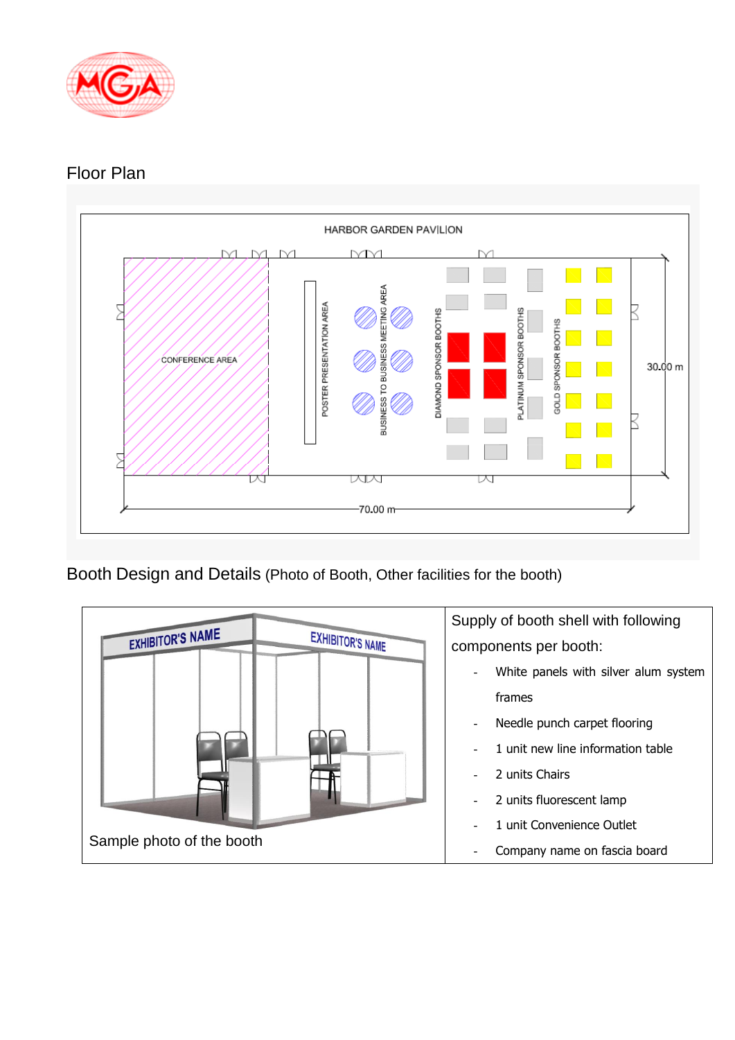

## Floor Plan



Booth Design and Details (Photo of Booth, Other facilities for the booth)

|                           |                         | Supply of booth shell with following |  |  |
|---------------------------|-------------------------|--------------------------------------|--|--|
| <b>EXHIBITOR'S NAME</b>   | <b>EXHIBITOR'S NAME</b> | components per booth:                |  |  |
|                           |                         | White panels with silver alum system |  |  |
|                           |                         | frames                               |  |  |
|                           |                         | Needle punch carpet flooring         |  |  |
|                           |                         | 1 unit new line information table    |  |  |
|                           |                         | 2 units Chairs                       |  |  |
|                           |                         | 2 units fluorescent lamp             |  |  |
|                           |                         | 1 unit Convenience Outlet            |  |  |
| Sample photo of the booth |                         | Company name on fascia board         |  |  |